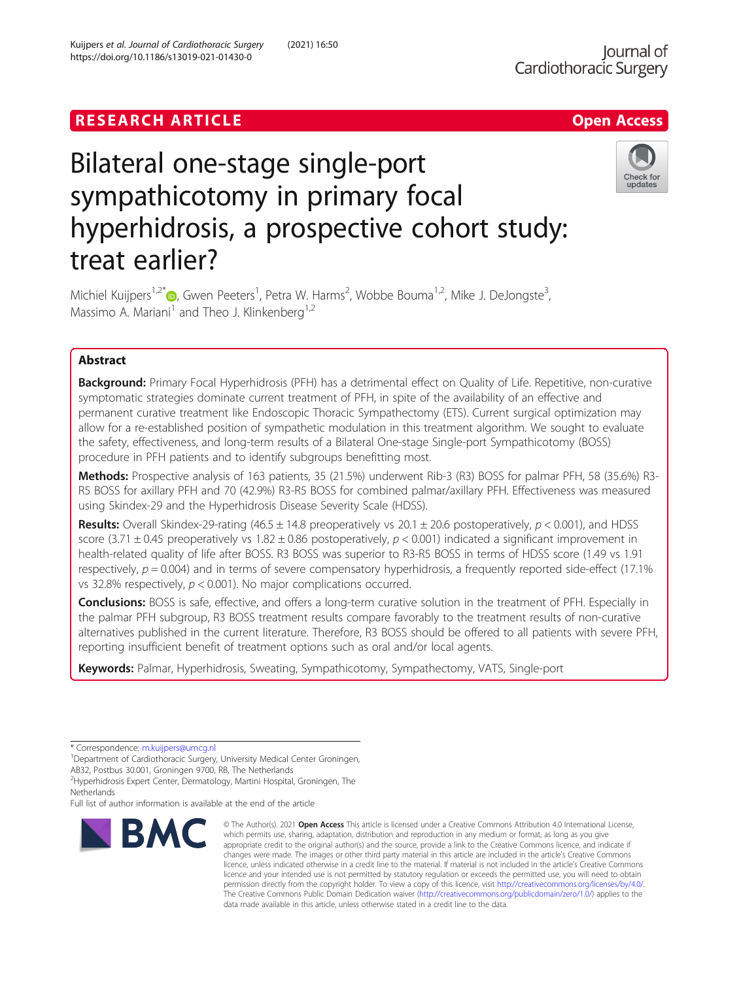# **RESEARCH ARTICLE Example Access 2014 The SEAR CH A RESEARCH ARTICLE**



# Bilateral one-stage single-port sympathicotomy in primary focal hyperhidrosis, a prospective cohort study: treat earlier?

Michiel Kuijpers<sup>1[,](http://orcid.org/0000-0001-9238-8556)2\*</sup>®, Gwen Peeters<sup>1</sup>, Petra W. Harms<sup>2</sup>, Wobbe Bouma<sup>1,2</sup>, Mike J. DeJongste<sup>3</sup> , Massimo A. Mariani<sup>1</sup> and Theo J. Klinkenberg<sup>1,2</sup>

# Abstract

Background: Primary Focal Hyperhidrosis (PFH) has a detrimental effect on Quality of Life. Repetitive, non-curative symptomatic strategies dominate current treatment of PFH, in spite of the availability of an effective and permanent curative treatment like Endoscopic Thoracic Sympathectomy (ETS). Current surgical optimization may allow for a re-established position of sympathetic modulation in this treatment algorithm. We sought to evaluate the safety, effectiveness, and long-term results of a Bilateral One-stage Single-port Sympathicotomy (BOSS) procedure in PFH patients and to identify subgroups benefitting most.

Methods: Prospective analysis of 163 patients, 35 (21.5%) underwent Rib-3 (R3) BOSS for palmar PFH, 58 (35.6%) R3-R5 BOSS for axillary PFH and 70 (42.9%) R3-R5 BOSS for combined palmar/axillary PFH. Effectiveness was measured using Skindex-29 and the Hyperhidrosis Disease Severity Scale (HDSS).

Results: Overall Skindex-29-rating (46.5  $\pm$  14.8 preoperatively vs 20.1  $\pm$  20.6 postoperatively, p < 0.001), and HDSS score (3.71  $\pm$  0.45 preoperatively vs 1.82  $\pm$  0.86 postoperatively, p < 0.001) indicated a significant improvement in health-related quality of life after BOSS. R3 BOSS was superior to R3-R5 BOSS in terms of HDSS score (1.49 vs 1.91 respectively,  $p = 0.004$ ) and in terms of severe compensatory hyperhidrosis, a frequently reported side-effect (17.1%) vs 32.8% respectively, p < 0.001). No major complications occurred.

Conclusions: BOSS is safe, effective, and offers a long-term curative solution in the treatment of PFH. Especially in the palmar PFH subgroup, R3 BOSS treatment results compare favorably to the treatment results of non-curative alternatives published in the current literature. Therefore, R3 BOSS should be offered to all patients with severe PFH, reporting insufficient benefit of treatment options such as oral and/or local agents.

Keywords: Palmar, Hyperhidrosis, Sweating, Sympathicotomy, Sympathectomy, VATS, Single-port

\* Correspondence: [m.kuijpers@umcg.nl](mailto:m.kuijpers@umcg.nl) <sup>1</sup>

<sup>1</sup>Department of Cardiothoracic Surgery, University Medical Center Groningen, AB32, Postbus 30.001, Groningen 9700, RB, The Netherlands

<sup>2</sup>Hyperhidrosis Expert Center, Dermatology, Martini Hospital, Groningen, The Netherlands

Full list of author information is available at the end of the article



<sup>©</sup> The Author(s), 2021 **Open Access** This article is licensed under a Creative Commons Attribution 4.0 International License, which permits use, sharing, adaptation, distribution and reproduction in any medium or format, as long as you give appropriate credit to the original author(s) and the source, provide a link to the Creative Commons licence, and indicate if changes were made. The images or other third party material in this article are included in the article's Creative Commons licence, unless indicated otherwise in a credit line to the material. If material is not included in the article's Creative Commons licence and your intended use is not permitted by statutory regulation or exceeds the permitted use, you will need to obtain permission directly from the copyright holder. To view a copy of this licence, visit [http://creativecommons.org/licenses/by/4.0/.](http://creativecommons.org/licenses/by/4.0/) The Creative Commons Public Domain Dedication waiver [\(http://creativecommons.org/publicdomain/zero/1.0/](http://creativecommons.org/publicdomain/zero/1.0/)) applies to the data made available in this article, unless otherwise stated in a credit line to the data.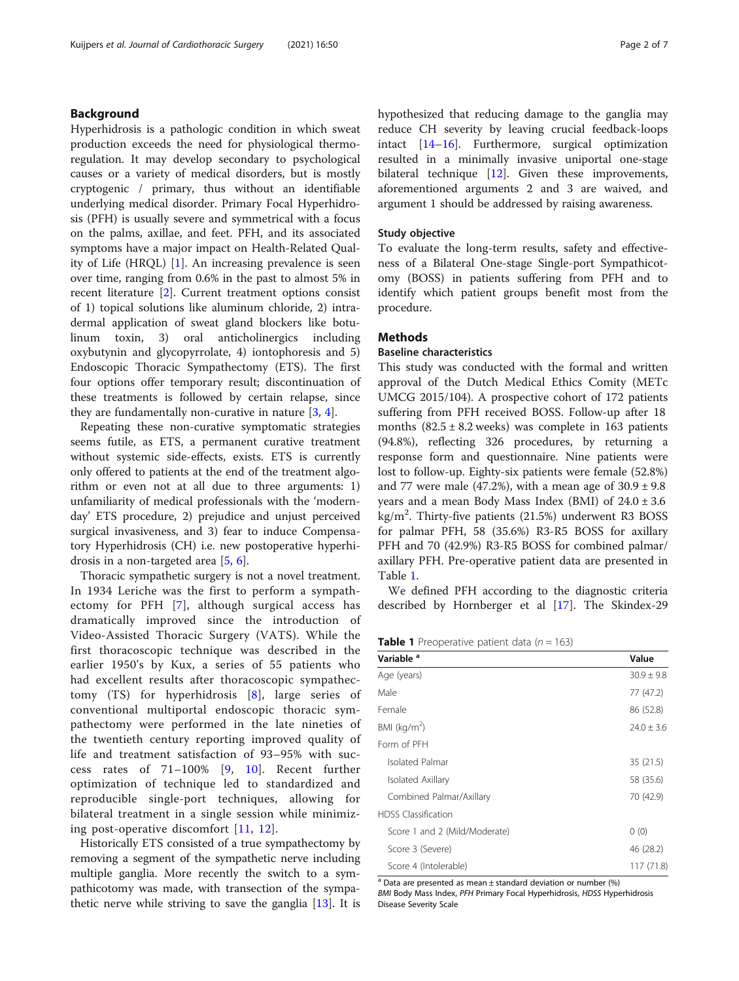# Background

Hyperhidrosis is a pathologic condition in which sweat production exceeds the need for physiological thermoregulation. It may develop secondary to psychological causes or a variety of medical disorders, but is mostly cryptogenic / primary, thus without an identifiable underlying medical disorder. Primary Focal Hyperhidrosis (PFH) is usually severe and symmetrical with a focus on the palms, axillae, and feet. PFH, and its associated symptoms have a major impact on Health-Related Quality of Life (HRQL) [[1\]](#page-5-0). An increasing prevalence is seen over time, ranging from 0.6% in the past to almost 5% in recent literature [[2](#page-5-0)]. Current treatment options consist of 1) topical solutions like aluminum chloride, 2) intradermal application of sweat gland blockers like botulinum toxin, 3) oral anticholinergics including oxybutynin and glycopyrrolate, 4) iontophoresis and 5) Endoscopic Thoracic Sympathectomy (ETS). The first four options offer temporary result; discontinuation of these treatments is followed by certain relapse, since they are fundamentally non-curative in nature  $[3, 4]$  $[3, 4]$  $[3, 4]$  $[3, 4]$ .

Repeating these non-curative symptomatic strategies seems futile, as ETS, a permanent curative treatment without systemic side-effects, exists. ETS is currently only offered to patients at the end of the treatment algorithm or even not at all due to three arguments: 1) unfamiliarity of medical professionals with the 'modernday' ETS procedure, 2) prejudice and unjust perceived surgical invasiveness, and 3) fear to induce Compensatory Hyperhidrosis (CH) i.e. new postoperative hyperhidrosis in a non-targeted area [[5](#page-6-0), [6\]](#page-6-0).

Thoracic sympathetic surgery is not a novel treatment. In 1934 Leriche was the first to perform a sympathectomy for PFH [[7](#page-6-0)], although surgical access has dramatically improved since the introduction of Video-Assisted Thoracic Surgery (VATS). While the first thoracoscopic technique was described in the earlier 1950's by Kux, a series of 55 patients who had excellent results after thoracoscopic sympathectomy (TS) for hyperhidrosis [[8\]](#page-6-0), large series of conventional multiportal endoscopic thoracic sympathectomy were performed in the late nineties of the twentieth century reporting improved quality of life and treatment satisfaction of 93–95% with success rates of 71–100% [\[9](#page-6-0), [10](#page-6-0)]. Recent further optimization of technique led to standardized and reproducible single-port techniques, allowing for bilateral treatment in a single session while minimizing post-operative discomfort [[11](#page-6-0), [12\]](#page-6-0).

Historically ETS consisted of a true sympathectomy by removing a segment of the sympathetic nerve including multiple ganglia. More recently the switch to a sympathicotomy was made, with transection of the sympathetic nerve while striving to save the ganglia [[13\]](#page-6-0). It is hypothesized that reducing damage to the ganglia may reduce CH severity by leaving crucial feedback-loops intact [[14](#page-6-0)–[16](#page-6-0)]. Furthermore, surgical optimization resulted in a minimally invasive uniportal one-stage bilateral technique [[12](#page-6-0)]. Given these improvements, aforementioned arguments 2 and 3 are waived, and argument 1 should be addressed by raising awareness.

#### Study objective

To evaluate the long-term results, safety and effectiveness of a Bilateral One-stage Single-port Sympathicotomy (BOSS) in patients suffering from PFH and to identify which patient groups benefit most from the procedure.

# **Methods**

## Baseline characteristics

This study was conducted with the formal and written approval of the Dutch Medical Ethics Comity (METc UMCG 2015/104). A prospective cohort of 172 patients suffering from PFH received BOSS. Follow-up after 18 months  $(82.5 \pm 8.2 \text{ weeks})$  was complete in 163 patients (94.8%), reflecting 326 procedures, by returning a response form and questionnaire. Nine patients were lost to follow-up. Eighty-six patients were female (52.8%) and 77 were male (47.2%), with a mean age of  $30.9 \pm 9.8$ years and a mean Body Mass Index (BMI) of 24.0 ± 3.6 kg/m<sup>2</sup> . Thirty-five patients (21.5%) underwent R3 BOSS for palmar PFH, 58 (35.6%) R3-R5 BOSS for axillary PFH and 70 (42.9%) R3-R5 BOSS for combined palmar/ axillary PFH. Pre-operative patient data are presented in Table 1.

We defined PFH according to the diagnostic criteria described by Hornberger et al [\[17\]](#page-6-0). The Skindex-29

**Table 1** Preoperative patient data ( $n = 163$ )

| Variable <sup>a</sup>         | Value          |
|-------------------------------|----------------|
| Age (years)                   | $30.9 \pm 9.8$ |
| Male                          | 77 (47.2)      |
| Female                        | 86 (52.8)      |
| BMI ( $kg/m2$ )               | $24.0 \pm 3.6$ |
| Form of PFH                   |                |
| Isolated Palmar               | 35 (21.5)      |
| Isolated Axillary             | 58 (35.6)      |
| Combined Palmar/Axillary      | 70 (42.9)      |
| <b>HDSS</b> Classification    |                |
| Score 1 and 2 (Mild/Moderate) | 0(0)           |
| Score 3 (Severe)              | 46 (28.2)      |
| Score 4 (Intolerable)         | 117 (71.8)     |

 $a$  Data are presented as mean  $\pm$  standard deviation or number (%) BMI Body Mass Index, PFH Primary Focal Hyperhidrosis, HDSS Hyperhidrosis Disease Severity Scale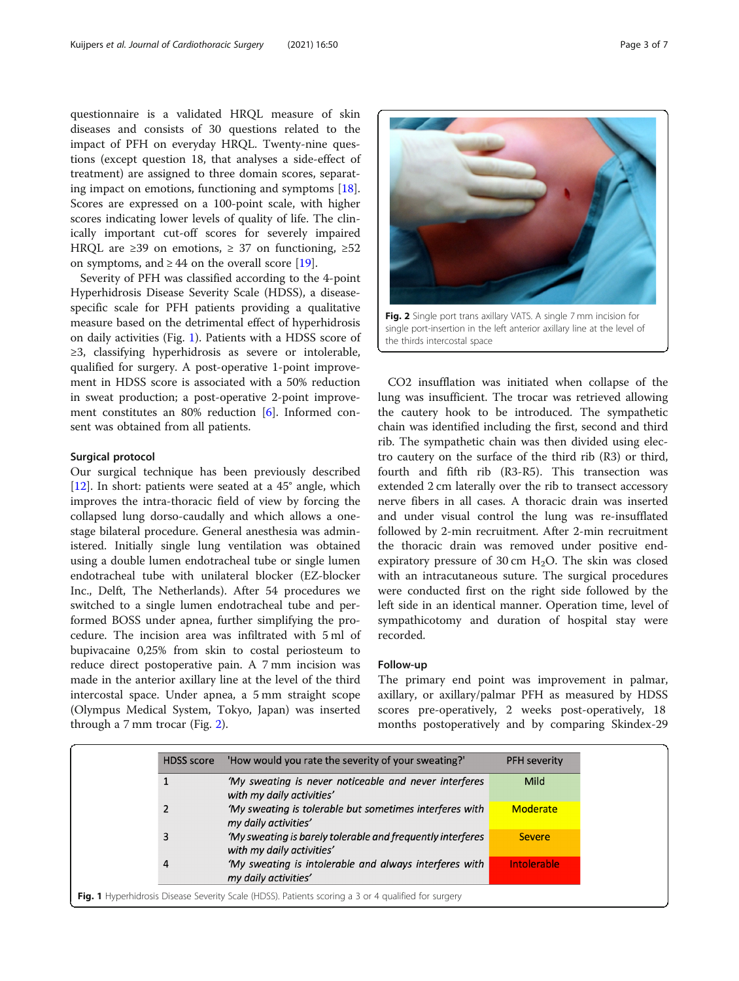<span id="page-2-0"></span>questionnaire is a validated HRQL measure of skin diseases and consists of 30 questions related to the impact of PFH on everyday HRQL. Twenty-nine questions (except question 18, that analyses a side-effect of treatment) are assigned to three domain scores, separating impact on emotions, functioning and symptoms [\[18](#page-6-0)]. Scores are expressed on a 100-point scale, with higher scores indicating lower levels of quality of life. The clinically important cut-off scores for severely impaired HRQL are  $\geq$  39 on emotions,  $\geq$  37 on functioning,  $\geq$  52 on symptoms, and  $\geq 44$  on the overall score [\[19\]](#page-6-0).

Severity of PFH was classified according to the 4-point Hyperhidrosis Disease Severity Scale (HDSS), a diseasespecific scale for PFH patients providing a qualitative measure based on the detrimental effect of hyperhidrosis on daily activities (Fig. 1). Patients with a HDSS score of ≥3, classifying hyperhidrosis as severe or intolerable, qualified for surgery. A post-operative 1-point improvement in HDSS score is associated with a 50% reduction in sweat production; a post-operative 2-point improvement constitutes an 80% reduction [\[6](#page-6-0)]. Informed consent was obtained from all patients.

#### Surgical protocol

Our surgical technique has been previously described [[12\]](#page-6-0). In short: patients were seated at a 45° angle, which improves the intra-thoracic field of view by forcing the collapsed lung dorso-caudally and which allows a onestage bilateral procedure. General anesthesia was administered. Initially single lung ventilation was obtained using a double lumen endotracheal tube or single lumen endotracheal tube with unilateral blocker (EZ-blocker Inc., Delft, The Netherlands). After 54 procedures we switched to a single lumen endotracheal tube and performed BOSS under apnea, further simplifying the procedure. The incision area was infiltrated with 5 ml of bupivacaine 0,25% from skin to costal periosteum to reduce direct postoperative pain. A 7 mm incision was made in the anterior axillary line at the level of the third intercostal space. Under apnea, a 5 mm straight scope (Olympus Medical System, Tokyo, Japan) was inserted through a 7 mm trocar (Fig. 2).



single port-insertion in the left anterior axillary line at the level of the thirds intercostal space

CO2 insufflation was initiated when collapse of the lung was insufficient. The trocar was retrieved allowing the cautery hook to be introduced. The sympathetic chain was identified including the first, second and third rib. The sympathetic chain was then divided using electro cautery on the surface of the third rib (R3) or third, fourth and fifth rib (R3-R5). This transection was extended 2 cm laterally over the rib to transect accessory nerve fibers in all cases. A thoracic drain was inserted and under visual control the lung was re-insufflated followed by 2-min recruitment. After 2-min recruitment the thoracic drain was removed under positive endexpiratory pressure of 30 cm  $H_2O$ . The skin was closed with an intracutaneous suture. The surgical procedures were conducted first on the right side followed by the left side in an identical manner. Operation time, level of sympathicotomy and duration of hospital stay were recorded.

#### Follow-up

The primary end point was improvement in palmar, axillary, or axillary/palmar PFH as measured by HDSS scores pre-operatively, 2 weeks post-operatively, 18 months postoperatively and by comparing Skindex-29

| 'My sweating is never noticeable and never interferes                                        |                    |
|----------------------------------------------------------------------------------------------|--------------------|
| with my daily activities'                                                                    | Mild               |
| 'My sweating is tolerable but sometimes interferes with<br>my daily activities'              | <b>Moderate</b>    |
| 'My sweating is barely tolerable and frequently interferes<br>3<br>with my daily activities' | <b>Severe</b>      |
| 'My sweating is intolerable and always interferes with<br>4<br>my daily activities'          | <b>Intolerable</b> |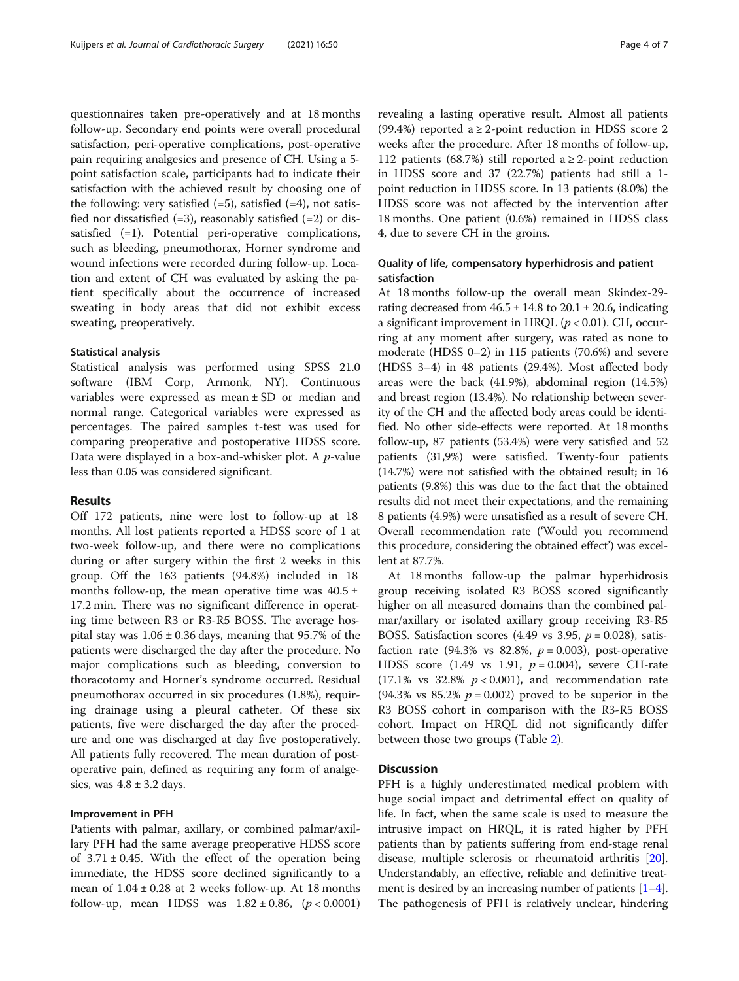questionnaires taken pre-operatively and at 18 months follow-up. Secondary end points were overall procedural satisfaction, peri-operative complications, post-operative pain requiring analgesics and presence of CH. Using a 5 point satisfaction scale, participants had to indicate their satisfaction with the achieved result by choosing one of the following: very satisfied  $(=5)$ , satisfied  $(=4)$ , not satisfied nor dissatisfied  $(=3)$ , reasonably satisfied  $(=2)$  or dissatisfied (=1). Potential peri-operative complications, such as bleeding, pneumothorax, Horner syndrome and wound infections were recorded during follow-up. Location and extent of CH was evaluated by asking the patient specifically about the occurrence of increased sweating in body areas that did not exhibit excess sweating, preoperatively.

#### Statistical analysis

Statistical analysis was performed using SPSS 21.0 software (IBM Corp, Armonk, NY). Continuous variables were expressed as mean ± SD or median and normal range. Categorical variables were expressed as percentages. The paired samples t-test was used for comparing preoperative and postoperative HDSS score. Data were displayed in a box-and-whisker plot. A *p*-value less than 0.05 was considered significant.

# Results

Off 172 patients, nine were lost to follow-up at 18 months. All lost patients reported a HDSS score of 1 at two-week follow-up, and there were no complications during or after surgery within the first 2 weeks in this group. Off the 163 patients (94.8%) included in 18 months follow-up, the mean operative time was  $40.5 \pm$ 17.2 min. There was no significant difference in operating time between R3 or R3-R5 BOSS. The average hospital stay was  $1.06 \pm 0.36$  days, meaning that 95.7% of the patients were discharged the day after the procedure. No major complications such as bleeding, conversion to thoracotomy and Horner's syndrome occurred. Residual pneumothorax occurred in six procedures (1.8%), requiring drainage using a pleural catheter. Of these six patients, five were discharged the day after the procedure and one was discharged at day five postoperatively. All patients fully recovered. The mean duration of postoperative pain, defined as requiring any form of analgesics, was  $4.8 \pm 3.2$  days.

### Improvement in PFH

Patients with palmar, axillary, or combined palmar/axillary PFH had the same average preoperative HDSS score of  $3.71 \pm 0.45$ . With the effect of the operation being immediate, the HDSS score declined significantly to a mean of  $1.04 \pm 0.28$  at 2 weeks follow-up. At 18 months follow-up, mean HDSS was  $1.82 \pm 0.86$ , ( $p < 0.0001$ ) revealing a lasting operative result. Almost all patients (99.4%) reported a  $\geq$  2-point reduction in HDSS score 2 weeks after the procedure. After 18 months of follow-up, 112 patients (68.7%) still reported a  $\geq$  2-point reduction in HDSS score and 37 (22.7%) patients had still a 1 point reduction in HDSS score. In 13 patients (8.0%) the HDSS score was not affected by the intervention after 18 months. One patient (0.6%) remained in HDSS class 4, due to severe CH in the groins.

# Quality of life, compensatory hyperhidrosis and patient satisfaction

At 18 months follow-up the overall mean Skindex-29 rating decreased from  $46.5 \pm 14.8$  to  $20.1 \pm 20.6$ , indicating a significant improvement in HRQL ( $p < 0.01$ ). CH, occurring at any moment after surgery, was rated as none to moderate (HDSS 0–2) in 115 patients (70.6%) and severe (HDSS 3–4) in 48 patients (29.4%). Most affected body areas were the back (41.9%), abdominal region (14.5%) and breast region (13.4%). No relationship between severity of the CH and the affected body areas could be identified. No other side-effects were reported. At 18 months follow-up, 87 patients (53.4%) were very satisfied and 52 patients (31,9%) were satisfied. Twenty-four patients (14.7%) were not satisfied with the obtained result; in 16 patients (9.8%) this was due to the fact that the obtained results did not meet their expectations, and the remaining 8 patients (4.9%) were unsatisfied as a result of severe CH. Overall recommendation rate ('Would you recommend this procedure, considering the obtained effect') was excellent at 87.7%.

At 18 months follow-up the palmar hyperhidrosis group receiving isolated R3 BOSS scored significantly higher on all measured domains than the combined palmar/axillary or isolated axillary group receiving R3-R5 BOSS. Satisfaction scores (4.49 vs 3.95,  $p = 0.028$ ), satisfaction rate (94.3% vs 82.8%,  $p = 0.003$ ), post-operative HDSS score (1.49 vs 1.91,  $p = 0.004$ ), severe CH-rate (17.1% vs 32.8%  $p < 0.001$ ), and recommendation rate (94.3% vs 85.2%  $p = 0.002$ ) proved to be superior in the R3 BOSS cohort in comparison with the R3-R5 BOSS cohort. Impact on HRQL did not significantly differ between those two groups (Table [2](#page-4-0)).

# **Discussion**

PFH is a highly underestimated medical problem with huge social impact and detrimental effect on quality of life. In fact, when the same scale is used to measure the intrusive impact on HRQL, it is rated higher by PFH patients than by patients suffering from end-stage renal disease, multiple sclerosis or rheumatoid arthritis [\[20](#page-6-0)]. Understandably, an effective, reliable and definitive treatment is desired by an increasing number of patients  $[1-4]$  $[1-4]$  $[1-4]$  $[1-4]$  $[1-4]$ . The pathogenesis of PFH is relatively unclear, hindering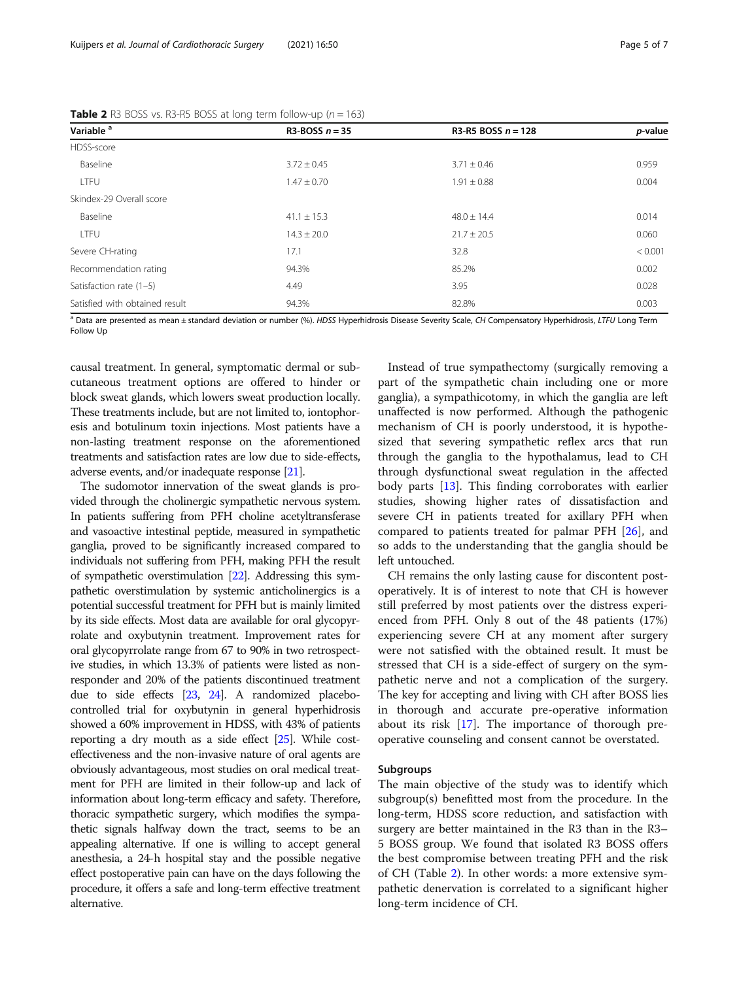| Variable <sup>a</sup>          | R3-BOSS $n = 35$ | R3-R5 BOSS $n = 128$ | <i>p</i> -value |
|--------------------------------|------------------|----------------------|-----------------|
| HDSS-score                     |                  |                      |                 |
| Baseline                       | $3.72 \pm 0.45$  | $3.71 \pm 0.46$      | 0.959           |
| LTFU                           | $1.47 \pm 0.70$  | $1.91 \pm 0.88$      | 0.004           |
| Skindex-29 Overall score       |                  |                      |                 |
| Baseline                       | $41.1 \pm 15.3$  | $48.0 \pm 14.4$      | 0.014           |
| LTFU                           | $14.3 \pm 20.0$  | $21.7 \pm 20.5$      | 0.060           |
| Severe CH-rating               | 17.1             | 32.8                 | < 0.001         |
| Recommendation rating          | 94.3%            | 85.2%                | 0.002           |
| Satisfaction rate (1-5)        | 4.49             | 3.95                 | 0.028           |
| Satisfied with obtained result | 94.3%            | 82.8%                | 0.003           |

<span id="page-4-0"></span>**Table 2** R3 BOSS vs. R3-R5 BOSS at long term follow-up ( $n = 163$ )

<sup>a</sup> Data are presented as mean ± standard deviation or number (%). HDSS Hyperhidrosis Disease Severity Scale, CH Compensatory Hyperhidrosis, LTFU Long Term Follow Up

causal treatment. In general, symptomatic dermal or subcutaneous treatment options are offered to hinder or block sweat glands, which lowers sweat production locally. These treatments include, but are not limited to, iontophoresis and botulinum toxin injections. Most patients have a non-lasting treatment response on the aforementioned treatments and satisfaction rates are low due to side-effects, adverse events, and/or inadequate response [[21](#page-6-0)].

The sudomotor innervation of the sweat glands is provided through the cholinergic sympathetic nervous system. In patients suffering from PFH choline acetyltransferase and vasoactive intestinal peptide, measured in sympathetic ganglia, proved to be significantly increased compared to individuals not suffering from PFH, making PFH the result of sympathetic overstimulation [\[22](#page-6-0)]. Addressing this sympathetic overstimulation by systemic anticholinergics is a potential successful treatment for PFH but is mainly limited by its side effects. Most data are available for oral glycopyrrolate and oxybutynin treatment. Improvement rates for oral glycopyrrolate range from 67 to 90% in two retrospective studies, in which 13.3% of patients were listed as nonresponder and 20% of the patients discontinued treatment due to side effects [[23](#page-6-0), [24\]](#page-6-0). A randomized placebocontrolled trial for oxybutynin in general hyperhidrosis showed a 60% improvement in HDSS, with 43% of patients reporting a dry mouth as a side effect [\[25](#page-6-0)]. While costeffectiveness and the non-invasive nature of oral agents are obviously advantageous, most studies on oral medical treatment for PFH are limited in their follow-up and lack of information about long-term efficacy and safety. Therefore, thoracic sympathetic surgery, which modifies the sympathetic signals halfway down the tract, seems to be an appealing alternative. If one is willing to accept general anesthesia, a 24-h hospital stay and the possible negative effect postoperative pain can have on the days following the procedure, it offers a safe and long-term effective treatment alternative.

Instead of true sympathectomy (surgically removing a part of the sympathetic chain including one or more ganglia), a sympathicotomy, in which the ganglia are left unaffected is now performed. Although the pathogenic mechanism of CH is poorly understood, it is hypothesized that severing sympathetic reflex arcs that run through the ganglia to the hypothalamus, lead to CH through dysfunctional sweat regulation in the affected body parts [[13](#page-6-0)]. This finding corroborates with earlier studies, showing higher rates of dissatisfaction and severe CH in patients treated for axillary PFH when compared to patients treated for palmar PFH [\[26](#page-6-0)], and so adds to the understanding that the ganglia should be left untouched.

CH remains the only lasting cause for discontent postoperatively. It is of interest to note that CH is however still preferred by most patients over the distress experienced from PFH. Only 8 out of the 48 patients (17%) experiencing severe CH at any moment after surgery were not satisfied with the obtained result. It must be stressed that CH is a side-effect of surgery on the sympathetic nerve and not a complication of the surgery. The key for accepting and living with CH after BOSS lies in thorough and accurate pre-operative information about its risk [\[17](#page-6-0)]. The importance of thorough preoperative counseling and consent cannot be overstated.

### Subgroups

The main objective of the study was to identify which subgroup(s) benefitted most from the procedure. In the long-term, HDSS score reduction, and satisfaction with surgery are better maintained in the R3 than in the R3– 5 BOSS group. We found that isolated R3 BOSS offers the best compromise between treating PFH and the risk of CH (Table 2). In other words: a more extensive sympathetic denervation is correlated to a significant higher long-term incidence of CH.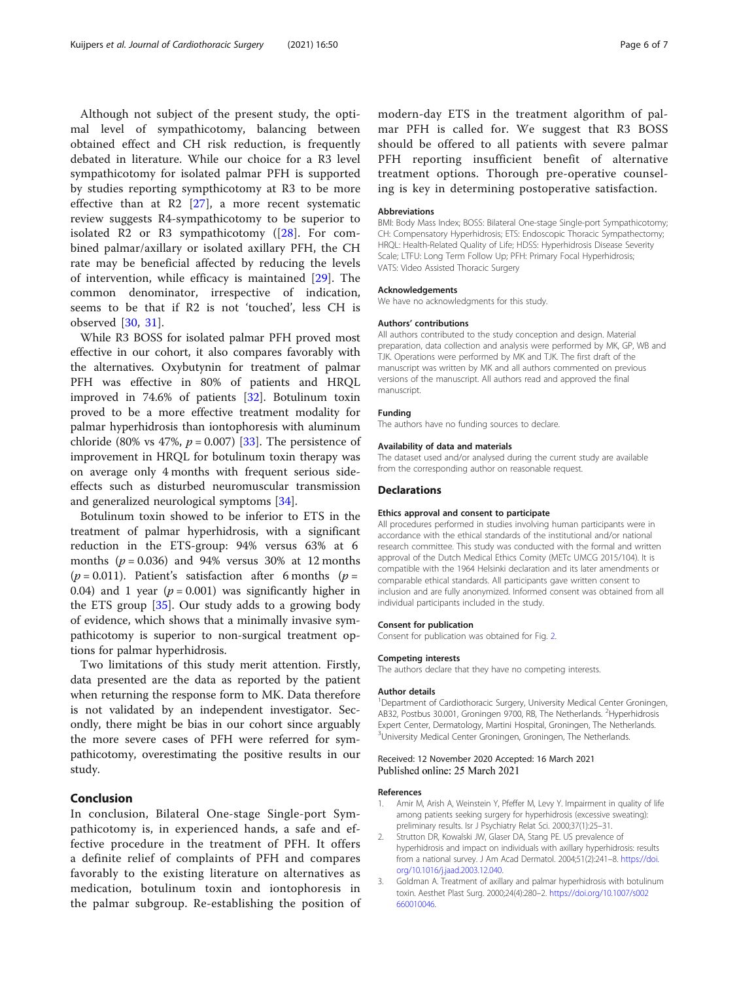<span id="page-5-0"></span>Although not subject of the present study, the optimal level of sympathicotomy, balancing between obtained effect and CH risk reduction, is frequently debated in literature. While our choice for a R3 level sympathicotomy for isolated palmar PFH is supported by studies reporting sympthicotomy at R3 to be more effective than at R2 [[27\]](#page-6-0), a more recent systematic review suggests R4-sympathicotomy to be superior to isolated R2 or R3 sympathicotomy ([[28\]](#page-6-0). For combined palmar/axillary or isolated axillary PFH, the CH rate may be beneficial affected by reducing the levels of intervention, while efficacy is maintained [\[29](#page-6-0)]. The common denominator, irrespective of indication, seems to be that if R2 is not 'touched', less CH is observed [[30,](#page-6-0) [31\]](#page-6-0).

While R3 BOSS for isolated palmar PFH proved most effective in our cohort, it also compares favorably with the alternatives. Oxybutynin for treatment of palmar PFH was effective in 80% of patients and HRQL improved in 74.6% of patients [\[32](#page-6-0)]. Botulinum toxin proved to be a more effective treatment modality for palmar hyperhidrosis than iontophoresis with aluminum chloride (80% vs 47%,  $p = 0.007$ ) [\[33\]](#page-6-0). The persistence of improvement in HRQL for botulinum toxin therapy was on average only 4 months with frequent serious sideeffects such as disturbed neuromuscular transmission and generalized neurological symptoms [[34\]](#page-6-0).

Botulinum toxin showed to be inferior to ETS in the treatment of palmar hyperhidrosis, with a significant reduction in the ETS-group: 94% versus 63% at 6 months ( $p = 0.036$ ) and 94% versus 30% at 12 months ( $p = 0.011$ ). Patient's satisfaction after 6 months ( $p =$ 0.04) and 1 year ( $p = 0.001$ ) was significantly higher in the ETS group [[35](#page-6-0)]. Our study adds to a growing body of evidence, which shows that a minimally invasive sympathicotomy is superior to non-surgical treatment options for palmar hyperhidrosis.

Two limitations of this study merit attention. Firstly, data presented are the data as reported by the patient when returning the response form to MK. Data therefore is not validated by an independent investigator. Secondly, there might be bias in our cohort since arguably the more severe cases of PFH were referred for sympathicotomy, overestimating the positive results in our study.

# Conclusion

In conclusion, Bilateral One-stage Single-port Sympathicotomy is, in experienced hands, a safe and effective procedure in the treatment of PFH. It offers a definite relief of complaints of PFH and compares favorably to the existing literature on alternatives as medication, botulinum toxin and iontophoresis in the palmar subgroup. Re-establishing the position of

modern-day ETS in the treatment algorithm of palmar PFH is called for. We suggest that R3 BOSS should be offered to all patients with severe palmar PFH reporting insufficient benefit of alternative treatment options. Thorough pre-operative counseling is key in determining postoperative satisfaction.

#### Abbreviations

BMI: Body Mass Index; BOSS: Bilateral One-stage Single-port Sympathicotomy; CH: Compensatory Hyperhidrosis; ETS: Endoscopic Thoracic Sympathectomy; HRQL: Health-Related Quality of Life; HDSS: Hyperhidrosis Disease Severity Scale; LTFU: Long Term Follow Up; PFH: Primary Focal Hyperhidrosis; VATS: Video Assisted Thoracic Surgery

#### Acknowledgements

We have no acknowledgments for this study.

#### Authors' contributions

All authors contributed to the study conception and design. Material preparation, data collection and analysis were performed by MK, GP, WB and TJK. Operations were performed by MK and TJK. The first draft of the manuscript was written by MK and all authors commented on previous versions of the manuscript. All authors read and approved the final manuscript.

#### Funding

The authors have no funding sources to declare.

#### Availability of data and materials

The dataset used and/or analysed during the current study are available from the corresponding author on reasonable request.

### Declarations

#### Ethics approval and consent to participate

All procedures performed in studies involving human participants were in accordance with the ethical standards of the institutional and/or national research committee. This study was conducted with the formal and written approval of the Dutch Medical Ethics Comity (METc UMCG 2015/104). It is compatible with the 1964 Helsinki declaration and its later amendments or comparable ethical standards. All participants gave written consent to inclusion and are fully anonymized. Informed consent was obtained from all individual participants included in the study.

#### Consent for publication

Consent for publication was obtained for Fig. [2](#page-2-0).

#### Competing interests

The authors declare that they have no competing interests.

#### Author details

<sup>1</sup>Department of Cardiothoracic Surgery, University Medical Center Groningen, AB32, Postbus 30.001, Groningen 9700, RB, The Netherlands. <sup>2</sup>Hyperhidrosis Expert Center, Dermatology, Martini Hospital, Groningen, The Netherlands. <sup>3</sup>University Medical Center Groningen, Groningen, The Netherlands

# Received: 12 November 2020 Accepted: 16 March 2021 Published online: 25 March 2021

#### References

- Amir M, Arish A, Weinstein Y, Pfeffer M, Levy Y. Impairment in quality of life among patients seeking surgery for hyperhidrosis (excessive sweating): preliminary results. Isr J Psychiatry Relat Sci. 2000;37(1):25–31.
- 2. Strutton DR, Kowalski JW, Glaser DA, Stang PE. US prevalence of hyperhidrosis and impact on individuals with axillary hyperhidrosis: results from a national survey. J Am Acad Dermatol. 2004;51(2):241–8. [https://doi.](https://doi.org/10.1016/j.jaad.2003.12.040) [org/10.1016/j.jaad.2003.12.040.](https://doi.org/10.1016/j.jaad.2003.12.040)
- 3. Goldman A. Treatment of axillary and palmar hyperhidrosis with botulinum toxin. Aesthet Plast Surg. 2000;24(4):280–2. [https://doi.org/10.1007/s002](https://doi.org/10.1007/s002660010046) [660010046](https://doi.org/10.1007/s002660010046).